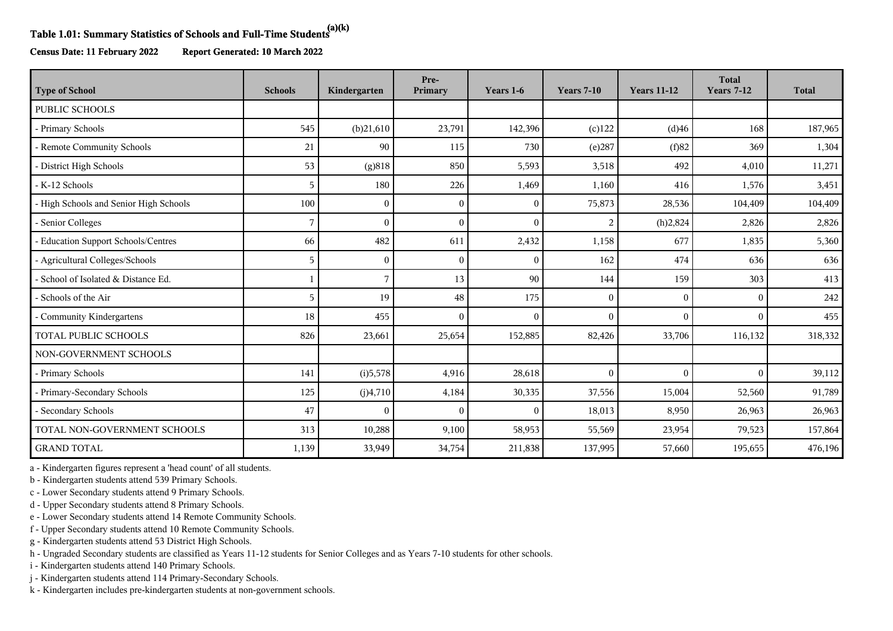## **Table 1.01: Summary Statistics of Schools and Full-Time Students(a)(k)**

**Census Date: 11 February 2022 Report Generated: 10 March 2022**

| <b>Type of School</b>                  | <b>Schools</b> | Kindergarten | Pre-<br>Primary | Years 1-6    | <b>Years 7-10</b> | <b>Years 11-12</b> | <b>Total</b><br><b>Years 7-12</b> | <b>Total</b> |
|----------------------------------------|----------------|--------------|-----------------|--------------|-------------------|--------------------|-----------------------------------|--------------|
| <b>PUBLIC SCHOOLS</b>                  |                |              |                 |              |                   |                    |                                   |              |
| - Primary Schools                      | 545            | (b)21,610    | 23,791          | 142,396      | $(c)$ 122         | (d)46              | 168                               | 187,965      |
| - Remote Community Schools             | 21             | 90           | 115             | 730          | (e)287            | (f)82              | 369                               | 1,304        |
| - District High Schools                | 53             | (g)818       | 850             | 5,593        | 3,518             | 492                | 4,010                             | 11,271       |
| - K-12 Schools                         | 5              | 180          | 226             | 1,469        | 1,160             | 416                | 1,576                             | 3,451        |
| - High Schools and Senior High Schools | 100            | $\theta$     | 0               | $\mathbf{0}$ | 75,873            | 28,536             | 104,409                           | 104,409      |
| - Senior Colleges                      | 7              |              |                 | $\theta$     | 2                 | (h)2,824           | 2,826                             | 2,826        |
| - Education Support Schools/Centres    | 66             | 482          | 611             | 2,432        | 1,158             | 677                | 1,835                             | 5,360        |
| - Agricultural Colleges/Schools        | 5              | $\Omega$     | $\sqrt{ }$      | $\mathbf{0}$ | 162               | 474                | 636                               | 636          |
| - School of Isolated & Distance Ed.    |                |              | 13              | 90           | 144               | 159                | 303                               | 413          |
| - Schools of the Air                   | 5              | 19           | 48              | 175          | $\mathbf{0}$      | $\Omega$           | $\theta$                          | 242          |
| - Community Kindergartens              | 18             | 455          | $\sqrt{ }$      | $\mathbf{0}$ | $\mathbf{0}$      | $\Omega$           | $\theta$                          | 455          |
| <b>TOTAL PUBLIC SCHOOLS</b>            | 826            | 23,661       | 25,654          | 152,885      | 82,426            | 33,706             | 116,132                           | 318,332      |
| NON-GOVERNMENT SCHOOLS                 |                |              |                 |              |                   |                    |                                   |              |
| - Primary Schools                      | 141            | (i)5,578     | 4,916           | 28,618       | $\mathbf{0}$      | $\Omega$           | $\Omega$                          | 39,112       |
| - Primary-Secondary Schools            | 125            | (j)4,710     | 4,184           | 30,335       | 37,556            | 15,004             | 52,560                            | 91,789       |
| - Secondary Schools                    | 47             | $\Omega$     | $\sqrt{ }$      | $\mathbf{0}$ | 18,013            | 8,950              | 26,963                            | 26,963       |
| TOTAL NON-GOVERNMENT SCHOOLS           | 313            | 10,288       | 9,100           | 58,953       | 55,569            | 23,954             | 79,523                            | 157,864      |
| <b>GRAND TOTAL</b>                     | 1,139          | 33,949       | 34,754          | 211,838      | 137,995           | 57,660             | 195,655                           | 476,196      |

a - Kindergarten figures represent a 'head count' of all students.

b - Kindergarten students attend 539 Primary Schools.

c - Lower Secondary students attend 9 Primary Schools.

d - Upper Secondary students attend 8 Primary Schools.

e - Lower Secondary students attend 14 Remote Community Schools.

f - Upper Secondary students attend 10 Remote Community Schools.

g - Kindergarten students attend 53 District High Schools.

h - Ungraded Secondary students are classified as Years 11-12 students for Senior Colleges and as Years 7-10 students for other schools.

i - Kindergarten students attend 140 Primary Schools.

j - Kindergarten students attend 114 Primary-Secondary Schools.

k - Kindergarten includes pre-kindergarten students at non-government schools.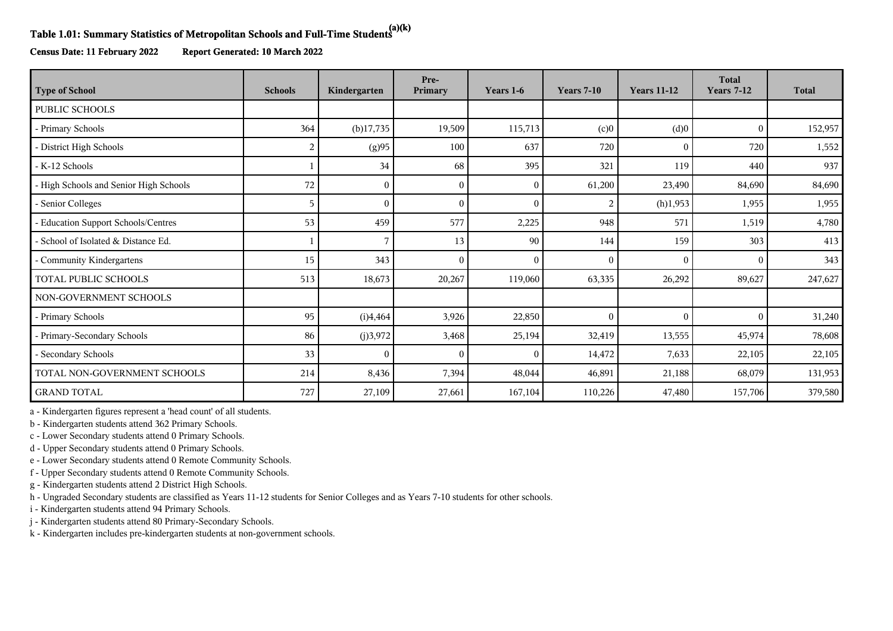## **Table 1.01: Summary Statistics of Metropolitan Schools and Full-Time Students(a)(k)**

**Census Date: 11 February 2022 Report Generated: 10 March 2022**

| <b>Type of School</b>                  | <b>Schools</b> | Kindergarten | Pre-<br>Primary | Years 1-6    | <b>Years 7-10</b> | <b>Years 11-12</b> | <b>Total</b><br><b>Years 7-12</b> | <b>Total</b> |
|----------------------------------------|----------------|--------------|-----------------|--------------|-------------------|--------------------|-----------------------------------|--------------|
| <b>PUBLIC SCHOOLS</b>                  |                |              |                 |              |                   |                    |                                   |              |
| - Primary Schools                      | 364            | $(b)$ 17,735 | 19,509          | 115,713      | (c)0              | (d)0               | $\Omega$                          | 152,957      |
| - District High Schools                | 2              | (g)95        | 100             | 637          | 720               | $\Omega$           | 720                               | 1,552        |
| - K-12 Schools                         |                | 34           | 68              | 395          | 321               | 119                | 440                               | 937          |
| - High Schools and Senior High Schools | 72             | $\Omega$     | $\left($        | $\mathbf{0}$ | 61,200            | 23,490             | 84,690                            | 84,690       |
| - Senior Colleges                      | 5              |              |                 | $\mathbf{0}$ | 2                 | (h)1,953           | 1,955                             | 1,955        |
| - Education Support Schools/Centres    | 53             | 459          | 577             | 2,225        | 948               | 571                | 1,519                             | 4,780        |
| - School of Isolated & Distance Ed.    |                |              | 13              | 90           | 144               | 159                | 303                               | 413          |
| - Community Kindergartens              | 15             | 343          |                 | $\theta$     | $\theta$          | $\Omega$           | $\Omega$                          | 343          |
| TOTAL PUBLIC SCHOOLS                   | 513            | 18,673       | 20,267          | 119,060      | 63,335            | 26,292             | 89,627                            | 247,627      |
| NON-GOVERNMENT SCHOOLS                 |                |              |                 |              |                   |                    |                                   |              |
| - Primary Schools                      | 95             | (i)4,464     | 3,926           | 22,850       | $\mathbf{0}$      | $\mathbf{0}$       | $\theta$                          | 31,240       |
| - Primary-Secondary Schools            | 86             | (j)3,972     | 3,468           | 25,194       | 32,419            | 13,555             | 45,974                            | 78,608       |
| - Secondary Schools                    | 33             | $\Omega$     | 0               | $\mathbf{0}$ | 14,472            | 7,633              | 22,105                            | 22,105       |
| TOTAL NON-GOVERNMENT SCHOOLS           | 214            | 8,436        | 7,394           | 48,044       | 46,891            | 21,188             | 68,079                            | 131,953      |
| <b>GRAND TOTAL</b>                     | 727            | 27,109       | 27,661          | 167,104      | 110,226           | 47,480             | 157,706                           | 379,580      |

a - Kindergarten figures represent a 'head count' of all students.

b - Kindergarten students attend 362 Primary Schools.

c - Lower Secondary students attend 0 Primary Schools.

d - Upper Secondary students attend 0 Primary Schools.

e - Lower Secondary students attend 0 Remote Community Schools.

f - Upper Secondary students attend 0 Remote Community Schools.

g - Kindergarten students attend 2 District High Schools.

h - Ungraded Secondary students are classified as Years 11-12 students for Senior Colleges and as Years 7-10 students for other schools.

i - Kindergarten students attend 94 Primary Schools.

j - Kindergarten students attend 80 Primary-Secondary Schools.

k - Kindergarten includes pre-kindergarten students at non-government schools.